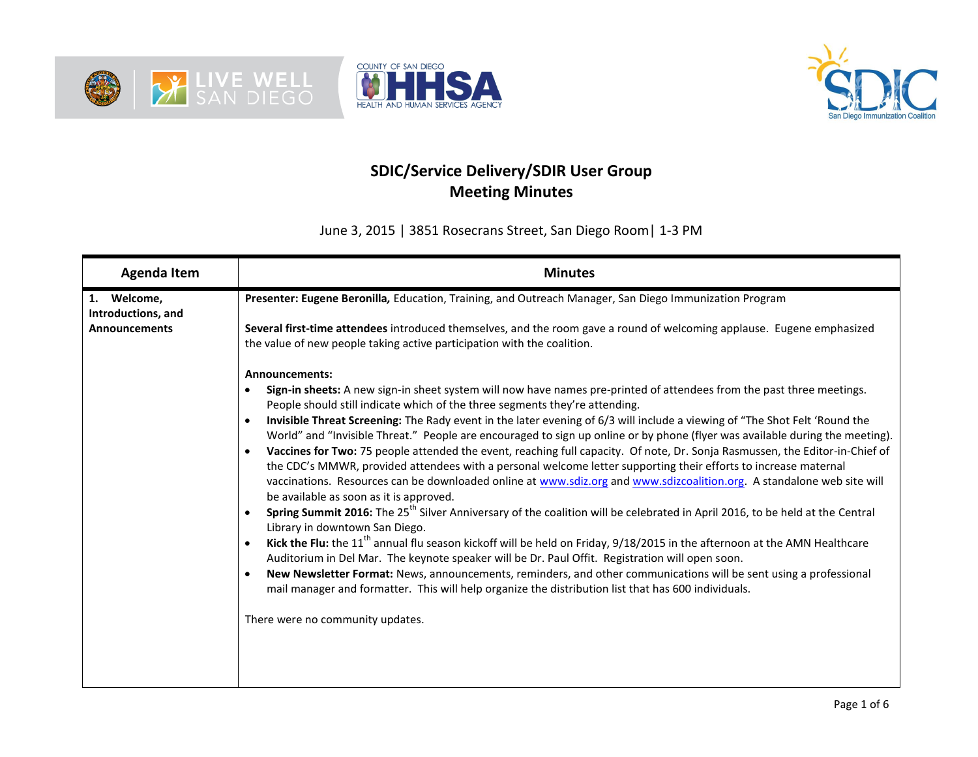





## **SDIC/Service Delivery/SDIR User Group Meeting Minutes**

June 3, 2015 | 3851 Rosecrans Street, San Diego Room| 1-3 PM

| <b>Agenda Item</b>                | <b>Minutes</b>                                                                                                                                                                                                                                                                                                                                                                                                                                                                                                                                                                                                                                                                                                                                                                                                                                                                                                                                                                                                                                                                                                                                                                                                                                                                                                                                                                                                                                                                                                                                                                                                |  |  |  |  |  |
|-----------------------------------|---------------------------------------------------------------------------------------------------------------------------------------------------------------------------------------------------------------------------------------------------------------------------------------------------------------------------------------------------------------------------------------------------------------------------------------------------------------------------------------------------------------------------------------------------------------------------------------------------------------------------------------------------------------------------------------------------------------------------------------------------------------------------------------------------------------------------------------------------------------------------------------------------------------------------------------------------------------------------------------------------------------------------------------------------------------------------------------------------------------------------------------------------------------------------------------------------------------------------------------------------------------------------------------------------------------------------------------------------------------------------------------------------------------------------------------------------------------------------------------------------------------------------------------------------------------------------------------------------------------|--|--|--|--|--|
| 1. Welcome,<br>Introductions, and | Presenter: Eugene Beronilla, Education, Training, and Outreach Manager, San Diego Immunization Program                                                                                                                                                                                                                                                                                                                                                                                                                                                                                                                                                                                                                                                                                                                                                                                                                                                                                                                                                                                                                                                                                                                                                                                                                                                                                                                                                                                                                                                                                                        |  |  |  |  |  |
| <b>Announcements</b>              | Several first-time attendees introduced themselves, and the room gave a round of welcoming applause. Eugene emphasized<br>the value of new people taking active participation with the coalition.                                                                                                                                                                                                                                                                                                                                                                                                                                                                                                                                                                                                                                                                                                                                                                                                                                                                                                                                                                                                                                                                                                                                                                                                                                                                                                                                                                                                             |  |  |  |  |  |
|                                   | <b>Announcements:</b><br>Sign-in sheets: A new sign-in sheet system will now have names pre-printed of attendees from the past three meetings.<br>People should still indicate which of the three segments they're attending.<br>Invisible Threat Screening: The Rady event in the later evening of 6/3 will include a viewing of "The Shot Felt 'Round the<br>World" and "Invisible Threat." People are encouraged to sign up online or by phone (flyer was available during the meeting).<br>Vaccines for Two: 75 people attended the event, reaching full capacity. Of note, Dr. Sonja Rasmussen, the Editor-in-Chief of<br>the CDC's MMWR, provided attendees with a personal welcome letter supporting their efforts to increase maternal<br>vaccinations. Resources can be downloaded online at www.sdiz.org and www.sdizcoalition.org. A standalone web site will<br>be available as soon as it is approved.<br>Spring Summit 2016: The 25 <sup>th</sup> Silver Anniversary of the coalition will be celebrated in April 2016, to be held at the Central<br>Library in downtown San Diego.<br>Kick the Flu: the 11 <sup>th</sup> annual flu season kickoff will be held on Friday, 9/18/2015 in the afternoon at the AMN Healthcare<br>Auditorium in Del Mar. The keynote speaker will be Dr. Paul Offit. Registration will open soon.<br>New Newsletter Format: News, announcements, reminders, and other communications will be sent using a professional<br>mail manager and formatter. This will help organize the distribution list that has 600 individuals.<br>There were no community updates. |  |  |  |  |  |
|                                   |                                                                                                                                                                                                                                                                                                                                                                                                                                                                                                                                                                                                                                                                                                                                                                                                                                                                                                                                                                                                                                                                                                                                                                                                                                                                                                                                                                                                                                                                                                                                                                                                               |  |  |  |  |  |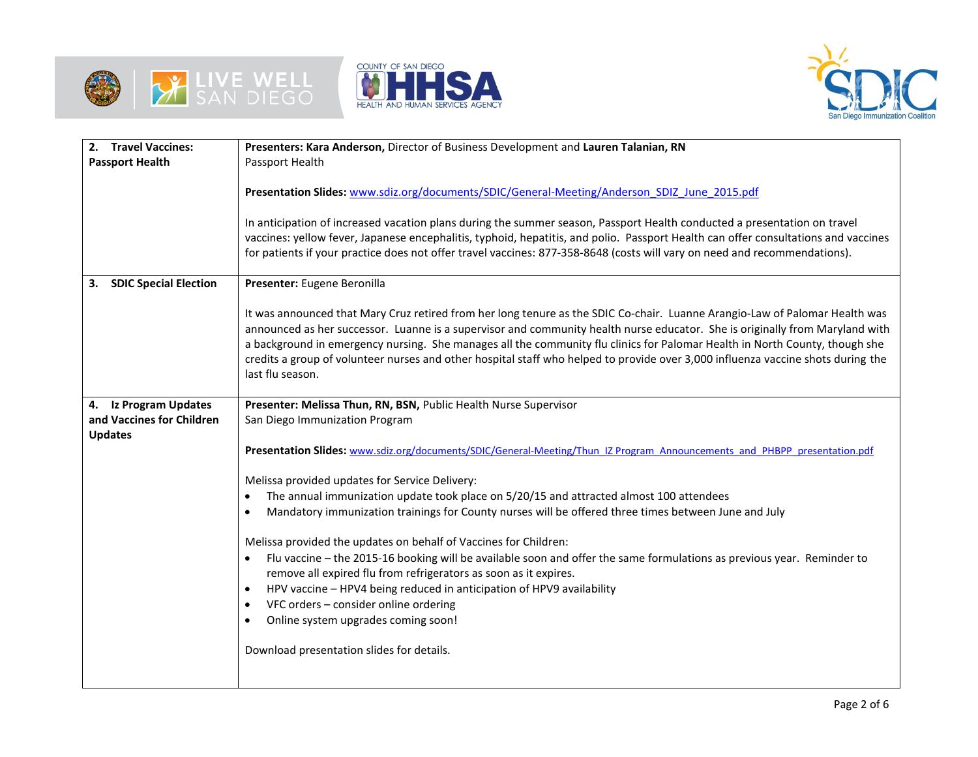





| 2. Travel Vaccines:                | Presenters: Kara Anderson, Director of Business Development and Lauren Talanian, RN                                                |  |  |  |  |  |  |
|------------------------------------|------------------------------------------------------------------------------------------------------------------------------------|--|--|--|--|--|--|
| <b>Passport Health</b>             | Passport Health                                                                                                                    |  |  |  |  |  |  |
|                                    |                                                                                                                                    |  |  |  |  |  |  |
|                                    | Presentation Slides: www.sdiz.org/documents/SDIC/General-Meeting/Anderson SDIZ June 2015.pdf                                       |  |  |  |  |  |  |
|                                    |                                                                                                                                    |  |  |  |  |  |  |
|                                    | In anticipation of increased vacation plans during the summer season, Passport Health conducted a presentation on travel           |  |  |  |  |  |  |
|                                    | vaccines: yellow fever, Japanese encephalitis, typhoid, hepatitis, and polio. Passport Health can offer consultations and vaccines |  |  |  |  |  |  |
|                                    | for patients if your practice does not offer travel vaccines: 877-358-8648 (costs will vary on need and recommendations).          |  |  |  |  |  |  |
|                                    |                                                                                                                                    |  |  |  |  |  |  |
| 3.<br><b>SDIC Special Election</b> | Presenter: Eugene Beronilla                                                                                                        |  |  |  |  |  |  |
|                                    |                                                                                                                                    |  |  |  |  |  |  |
|                                    | It was announced that Mary Cruz retired from her long tenure as the SDIC Co-chair. Luanne Arangio-Law of Palomar Health was        |  |  |  |  |  |  |
|                                    | announced as her successor. Luanne is a supervisor and community health nurse educator. She is originally from Maryland with       |  |  |  |  |  |  |
|                                    | a background in emergency nursing. She manages all the community flu clinics for Palomar Health in North County, though she        |  |  |  |  |  |  |
|                                    | credits a group of volunteer nurses and other hospital staff who helped to provide over 3,000 influenza vaccine shots during the   |  |  |  |  |  |  |
|                                    | last flu season.                                                                                                                   |  |  |  |  |  |  |
|                                    |                                                                                                                                    |  |  |  |  |  |  |
| 4. Iz Program Updates              | Presenter: Melissa Thun, RN, BSN, Public Health Nurse Supervisor                                                                   |  |  |  |  |  |  |
| and Vaccines for Children          | San Diego Immunization Program                                                                                                     |  |  |  |  |  |  |
| <b>Updates</b>                     |                                                                                                                                    |  |  |  |  |  |  |
|                                    | Presentation Slides: www.sdiz.org/documents/SDIC/General-Meeting/Thun IZ Program Announcements and PHBPP presentation.pdf          |  |  |  |  |  |  |
|                                    |                                                                                                                                    |  |  |  |  |  |  |
|                                    | Melissa provided updates for Service Delivery:                                                                                     |  |  |  |  |  |  |
|                                    | The annual immunization update took place on 5/20/15 and attracted almost 100 attendees                                            |  |  |  |  |  |  |
|                                    | Mandatory immunization trainings for County nurses will be offered three times between June and July                               |  |  |  |  |  |  |
|                                    | Melissa provided the updates on behalf of Vaccines for Children:                                                                   |  |  |  |  |  |  |
|                                    | Flu vaccine - the 2015-16 booking will be available soon and offer the same formulations as previous year. Reminder to             |  |  |  |  |  |  |
|                                    | remove all expired flu from refrigerators as soon as it expires.                                                                   |  |  |  |  |  |  |
|                                    | HPV vaccine - HPV4 being reduced in anticipation of HPV9 availability<br>$\bullet$                                                 |  |  |  |  |  |  |
|                                    | VFC orders - consider online ordering                                                                                              |  |  |  |  |  |  |
|                                    | Online system upgrades coming soon!<br>$\bullet$                                                                                   |  |  |  |  |  |  |
|                                    |                                                                                                                                    |  |  |  |  |  |  |
|                                    | Download presentation slides for details.                                                                                          |  |  |  |  |  |  |
|                                    |                                                                                                                                    |  |  |  |  |  |  |
|                                    |                                                                                                                                    |  |  |  |  |  |  |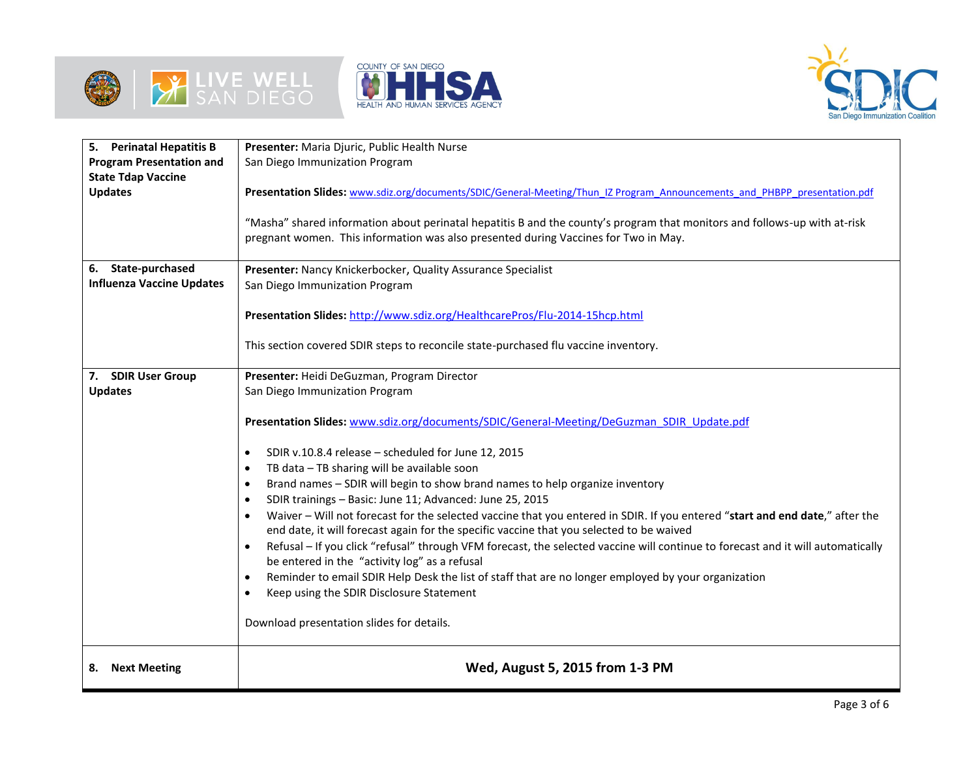







| <b>Perinatal Hepatitis B</b><br>5. | Presenter: Maria Djuric, Public Health Nurse                                                                                                                                                                                                                                                                                                                                                                                                                                                                                                                                                                                                                                                                                                                                                                                                                                                                                                                                                                                 |
|------------------------------------|------------------------------------------------------------------------------------------------------------------------------------------------------------------------------------------------------------------------------------------------------------------------------------------------------------------------------------------------------------------------------------------------------------------------------------------------------------------------------------------------------------------------------------------------------------------------------------------------------------------------------------------------------------------------------------------------------------------------------------------------------------------------------------------------------------------------------------------------------------------------------------------------------------------------------------------------------------------------------------------------------------------------------|
| <b>Program Presentation and</b>    | San Diego Immunization Program                                                                                                                                                                                                                                                                                                                                                                                                                                                                                                                                                                                                                                                                                                                                                                                                                                                                                                                                                                                               |
| <b>State Tdap Vaccine</b>          |                                                                                                                                                                                                                                                                                                                                                                                                                                                                                                                                                                                                                                                                                                                                                                                                                                                                                                                                                                                                                              |
| <b>Updates</b>                     | Presentation Slides: www.sdiz.org/documents/SDIC/General-Meeting/Thun IZ Program Announcements and PHBPP presentation.pdf                                                                                                                                                                                                                                                                                                                                                                                                                                                                                                                                                                                                                                                                                                                                                                                                                                                                                                    |
|                                    | "Masha" shared information about perinatal hepatitis B and the county's program that monitors and follows-up with at-risk<br>pregnant women. This information was also presented during Vaccines for Two in May.                                                                                                                                                                                                                                                                                                                                                                                                                                                                                                                                                                                                                                                                                                                                                                                                             |
| 6. State-purchased                 | Presenter: Nancy Knickerbocker, Quality Assurance Specialist                                                                                                                                                                                                                                                                                                                                                                                                                                                                                                                                                                                                                                                                                                                                                                                                                                                                                                                                                                 |
| <b>Influenza Vaccine Updates</b>   | San Diego Immunization Program                                                                                                                                                                                                                                                                                                                                                                                                                                                                                                                                                                                                                                                                                                                                                                                                                                                                                                                                                                                               |
|                                    | Presentation Slides: http://www.sdiz.org/HealthcarePros/Flu-2014-15hcp.html<br>This section covered SDIR steps to reconcile state-purchased flu vaccine inventory.                                                                                                                                                                                                                                                                                                                                                                                                                                                                                                                                                                                                                                                                                                                                                                                                                                                           |
|                                    |                                                                                                                                                                                                                                                                                                                                                                                                                                                                                                                                                                                                                                                                                                                                                                                                                                                                                                                                                                                                                              |
| <b>SDIR User Group</b><br>7.       | Presenter: Heidi DeGuzman, Program Director                                                                                                                                                                                                                                                                                                                                                                                                                                                                                                                                                                                                                                                                                                                                                                                                                                                                                                                                                                                  |
| <b>Updates</b>                     | San Diego Immunization Program                                                                                                                                                                                                                                                                                                                                                                                                                                                                                                                                                                                                                                                                                                                                                                                                                                                                                                                                                                                               |
|                                    | Presentation Slides: www.sdiz.org/documents/SDIC/General-Meeting/DeGuzman SDIR Update.pdf<br>SDIR v.10.8.4 release - scheduled for June 12, 2015<br>$\bullet$<br>TB data - TB sharing will be available soon<br>$\bullet$<br>Brand names - SDIR will begin to show brand names to help organize inventory<br>SDIR trainings - Basic: June 11; Advanced: June 25, 2015<br>Waiver - Will not forecast for the selected vaccine that you entered in SDIR. If you entered "start and end date," after the<br>end date, it will forecast again for the specific vaccine that you selected to be waived<br>Refusal - If you click "refusal" through VFM forecast, the selected vaccine will continue to forecast and it will automatically<br>$\bullet$<br>be entered in the "activity log" as a refusal<br>Reminder to email SDIR Help Desk the list of staff that are no longer employed by your organization<br>$\bullet$<br>Keep using the SDIR Disclosure Statement<br>$\bullet$<br>Download presentation slides for details. |
| <b>Next Meeting</b><br>8.          | Wed, August 5, 2015 from 1-3 PM                                                                                                                                                                                                                                                                                                                                                                                                                                                                                                                                                                                                                                                                                                                                                                                                                                                                                                                                                                                              |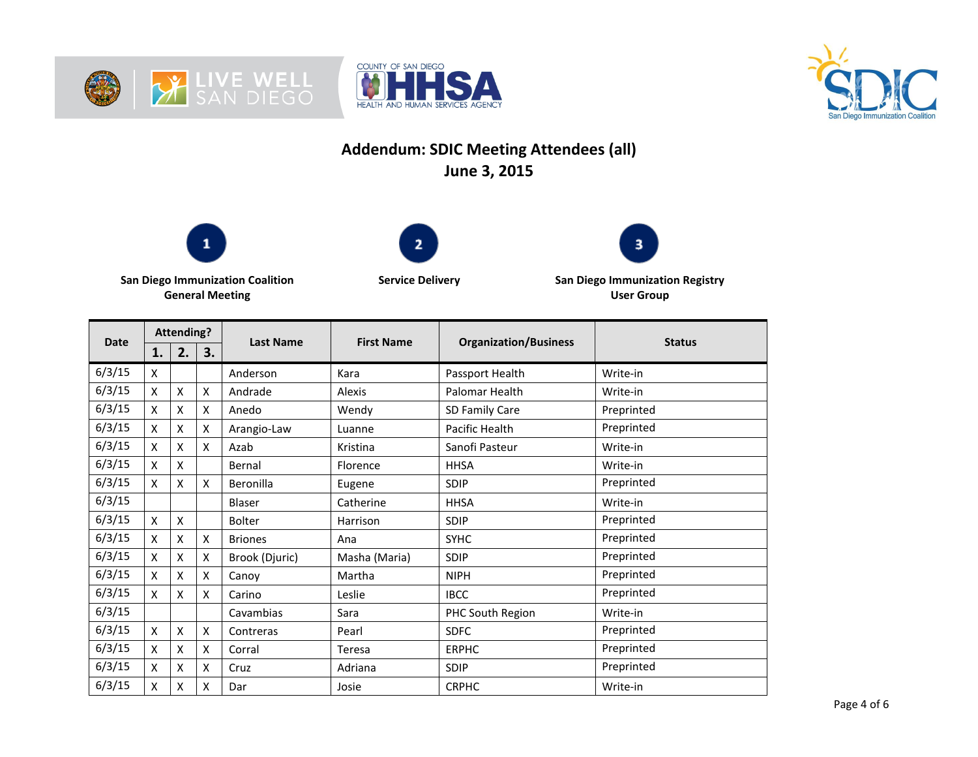





## **Addendum: SDIC Meeting Attendees (all) June 3, 2015**







**San Diego Immunization Coalition General Meeting**

**Service Delivery San Diego Immunization Registry User Group**

| <b>Date</b> | <b>Attending?</b> |    |    |                  | <b>First Name</b> |                              | <b>Status</b> |
|-------------|-------------------|----|----|------------------|-------------------|------------------------------|---------------|
|             | 1.                | 2. | 3. | <b>Last Name</b> |                   | <b>Organization/Business</b> |               |
| 6/3/15      | x                 |    |    | Anderson         | Kara              | Passport Health              | Write-in      |
| 6/3/15      | X                 | X  | X  | Andrade          | Alexis            | Palomar Health               | Write-in      |
| 6/3/15      | X                 | X  | X  | Anedo            | Wendy             | SD Family Care               | Preprinted    |
| 6/3/15      | X                 | X  | X  | Arangio-Law      | Luanne            | Pacific Health               | Preprinted    |
| 6/3/15      | Χ                 | X  | X  | Azab             | Kristina          | Sanofi Pasteur               | Write-in      |
| 6/3/15      | X                 | X  |    | Bernal           | Florence          | <b>HHSA</b>                  | Write-in      |
| 6/3/15      | Χ                 | X  | X  | Beronilla        | Eugene            | SDIP                         | Preprinted    |
| 6/3/15      |                   |    |    | Blaser           | Catherine         | <b>HHSA</b>                  | Write-in      |
| 6/3/15      | X                 | X  |    | <b>Bolter</b>    | Harrison          | SDIP                         | Preprinted    |
| 6/3/15      | x                 | X  | X  | <b>Briones</b>   | Ana               | <b>SYHC</b>                  | Preprinted    |
| 6/3/15      | X                 | X  | X  | Brook (Djuric)   | Masha (Maria)     | <b>SDIP</b>                  | Preprinted    |
| 6/3/15      | X                 | X  | X  | Canoy            | Martha            | <b>NIPH</b>                  | Preprinted    |
| 6/3/15      | Χ                 | X  | X  | Carino           | Leslie            | <b>IBCC</b>                  | Preprinted    |
| 6/3/15      |                   |    |    | Cavambias        | Sara              | PHC South Region             | Write-in      |
| 6/3/15      | X                 | X  | X  | Contreras        | Pearl             | <b>SDFC</b>                  | Preprinted    |
| 6/3/15      | Χ                 | X  | X  | Corral           | Teresa            | <b>ERPHC</b>                 | Preprinted    |
| 6/3/15      | X                 | X  | X  | Cruz             | Adriana           | SDIP                         | Preprinted    |
| 6/3/15      | X                 | X  | X  | Dar              | Josie             | <b>CRPHC</b>                 | Write-in      |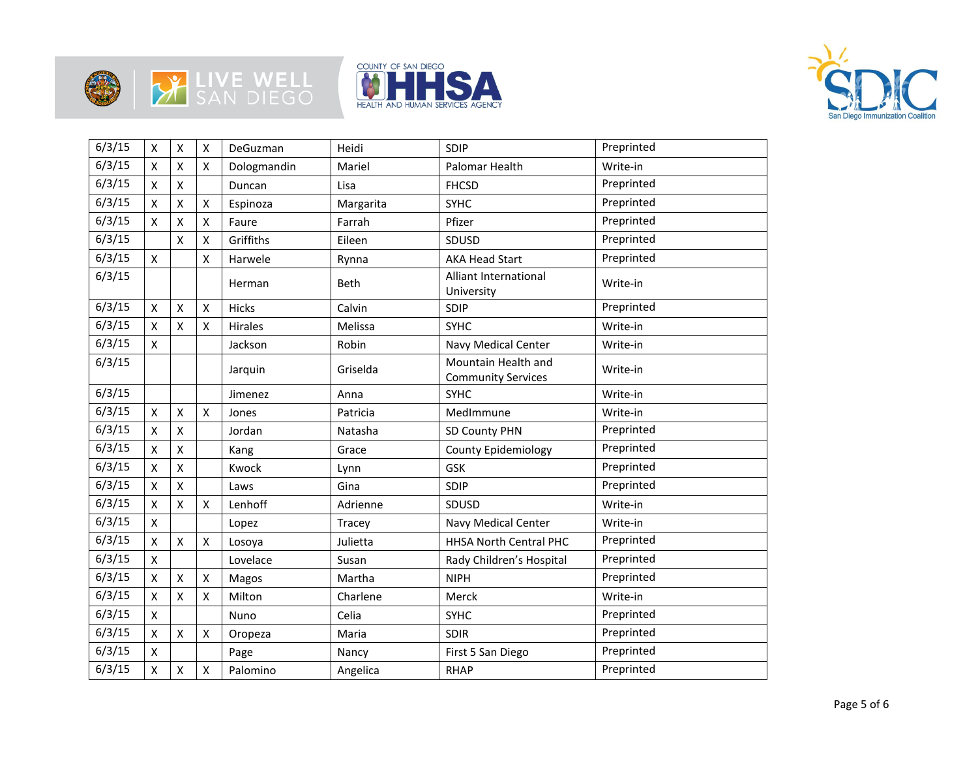







| 6/3/15 | $\pmb{\mathsf{X}}$ | $\mathsf{X}$       | X                  | DeGuzman    | Heidi     | SDIP                                             | Preprinted |
|--------|--------------------|--------------------|--------------------|-------------|-----------|--------------------------------------------------|------------|
| 6/3/15 | X                  | $\mathsf{X}$       | X                  | Dologmandin | Mariel    | Palomar Health                                   | Write-in   |
| 6/3/15 | $\mathsf{x}$       | $\mathsf{X}$       |                    | Duncan      | Lisa      | <b>FHCSD</b>                                     | Preprinted |
| 6/3/15 | X                  | $\pmb{\mathsf{X}}$ | X                  | Espinoza    | Margarita | <b>SYHC</b>                                      | Preprinted |
| 6/3/15 | Χ                  | $\pmb{\mathsf{X}}$ | X                  | Faure       | Farrah    | Pfizer                                           | Preprinted |
| 6/3/15 |                    | X                  | X                  | Griffiths   | Eileen    | SDUSD                                            | Preprinted |
| 6/3/15 | $\mathsf{x}$       |                    | x                  | Harwele     | Rynna     | <b>AKA Head Start</b>                            | Preprinted |
| 6/3/15 |                    |                    |                    | Herman      | Beth      | Alliant International<br>University              | Write-in   |
| 6/3/15 | X                  | $\pmb{\mathsf{X}}$ | X                  | Hicks       | Calvin    | SDIP                                             | Preprinted |
| 6/3/15 | X                  | $\pmb{\mathsf{X}}$ | X                  | Hirales     | Melissa   | <b>SYHC</b>                                      | Write-in   |
| 6/3/15 | $\pmb{\mathsf{X}}$ |                    |                    | Jackson     | Robin     | Navy Medical Center                              | Write-in   |
| 6/3/15 |                    |                    |                    | Jarquin     | Griselda  | Mountain Health and<br><b>Community Services</b> | Write-in   |
| 6/3/15 |                    |                    |                    | Jimenez     | Anna      | <b>SYHC</b>                                      | Write-in   |
| 6/3/15 | X                  | X                  | X                  | Jones       | Patricia  | MedImmune                                        | Write-in   |
| 6/3/15 | X                  | $\pmb{\mathsf{X}}$ |                    | Jordan      | Natasha   | SD County PHN                                    | Preprinted |
| 6/3/15 | X                  | $\pmb{\mathsf{X}}$ |                    | Kang        | Grace     | <b>County Epidemiology</b>                       | Preprinted |
| 6/3/15 | X                  | X                  |                    | Kwock       | Lynn      | <b>GSK</b>                                       | Preprinted |
| 6/3/15 | X                  | X                  |                    | Laws        | Gina      | SDIP                                             | Preprinted |
| 6/3/15 | X                  | $\pmb{\mathsf{X}}$ | X                  | Lenhoff     | Adrienne  | SDUSD                                            | Write-in   |
| 6/3/15 | $\pmb{\mathsf{X}}$ |                    |                    | Lopez       | Tracey    | Navy Medical Center                              | Write-in   |
| 6/3/15 | Χ                  | $\pmb{\mathsf{X}}$ | X                  | Losoya      | Julietta  | HHSA North Central PHC                           | Preprinted |
| 6/3/15 | X                  |                    |                    | Lovelace    | Susan     | Rady Children's Hospital                         | Preprinted |
| 6/3/15 | X                  | $\pmb{\mathsf{X}}$ | X                  | Magos       | Martha    | <b>NIPH</b>                                      | Preprinted |
| 6/3/15 | Χ                  | $\pmb{\mathsf{X}}$ | X                  | Milton      | Charlene  | Merck                                            | Write-in   |
| 6/3/15 | $\pmb{\mathsf{X}}$ |                    |                    | Nuno        | Celia     | <b>SYHC</b>                                      | Preprinted |
| 6/3/15 | X                  | $\pmb{\mathsf{X}}$ | X                  | Oropeza     | Maria     | <b>SDIR</b>                                      | Preprinted |
| 6/3/15 | X                  |                    |                    | Page        | Nancy     | First 5 San Diego                                | Preprinted |
| 6/3/15 | Χ                  | $\pmb{\mathsf{X}}$ | $\pmb{\mathsf{X}}$ | Palomino    | Angelica  | <b>RHAP</b>                                      | Preprinted |